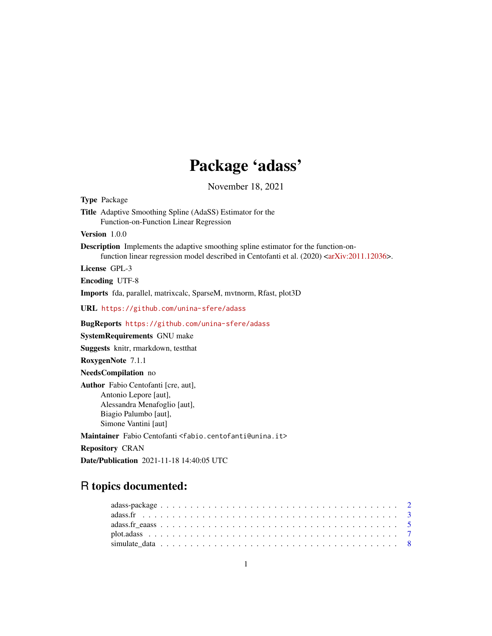## Package 'adass'

November 18, 2021

Type Package Title Adaptive Smoothing Spline (AdaSS) Estimator for the Function-on-Function Linear Regression Version 1.0.0 Description Implements the adaptive smoothing spline estimator for the function-on-function linear regression model described in Centofanti et al. (2020) [<arXiv:2011.12036>](https://arxiv.org/abs/2011.12036). License GPL-3 Encoding UTF-8 Imports fda, parallel, matrixcalc, SparseM, mvtnorm, Rfast, plot3D URL <https://github.com/unina-sfere/adass> BugReports <https://github.com/unina-sfere/adass> SystemRequirements GNU make Suggests knitr, rmarkdown, testthat RoxygenNote 7.1.1 NeedsCompilation no Author Fabio Centofanti [cre, aut], Antonio Lepore [aut], Alessandra Menafoglio [aut], Biagio Palumbo [aut], Simone Vantini [aut] Maintainer Fabio Centofanti <fabio.centofanti@unina.it> Repository CRAN Date/Publication 2021-11-18 14:40:05 UTC

### R topics documented: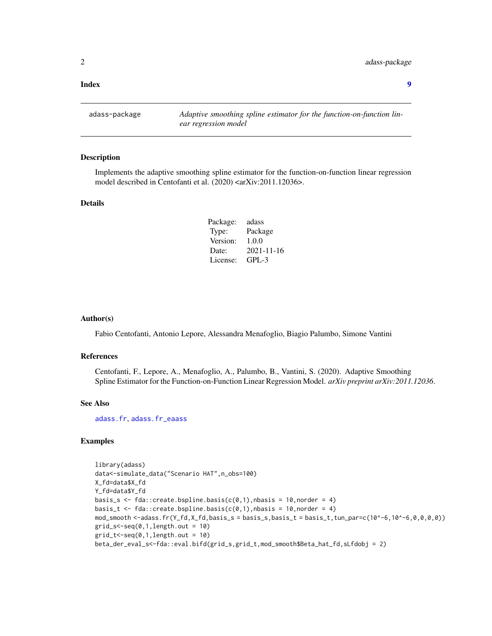#### <span id="page-1-0"></span>**Index** [9](#page-8-0)

adass-package *Adaptive smoothing spline estimator for the function-on-function linear regression model*

#### Description

Implements the adaptive smoothing spline estimator for the function-on-function linear regression model described in Centofanti et al. (2020) <arXiv:2011.12036>.

#### Details

| Package: | adass      |
|----------|------------|
| Type:    | Package    |
| Version: | 1.0.0      |
| Date:    | 2021-11-16 |
| License: | $GPI - 3$  |

#### Author(s)

Fabio Centofanti, Antonio Lepore, Alessandra Menafoglio, Biagio Palumbo, Simone Vantini

#### References

Centofanti, F., Lepore, A., Menafoglio, A., Palumbo, B., Vantini, S. (2020). Adaptive Smoothing Spline Estimator for the Function-on-Function Linear Regression Model. *arXiv preprint arXiv:2011.12036*.

#### See Also

[adass.fr](#page-2-1), [adass.fr\\_eaass](#page-4-1)

#### Examples

```
library(adass)
data<-simulate_data("Scenario HAT",n_obs=100)
X_fd=data$X_fd
Y_fd=data$Y_fd
basis_s <- fda::create.bspline.basis(c(0,1), nbasis = 10, norder = 4)
basis_t <- fda::create.bspline.basis(c(0,1),nbasis = 10,norder = 4)
mod\_smooth \leq -adass.fr(Y_fdd, X_fdd, basis_s = basis_s, basis_t = basis_t, tun\_par=c(10^6-6,10^6-6,0,0,0,0))grid_s < -seq(0,1,length.out = 10)grid_t < -seq(0, 1, length.out = 10)beta_der_eval_s<-fda::eval.bifd(grid_s,grid_t,mod_smooth$Beta_hat_fd,sLfdobj = 2)
```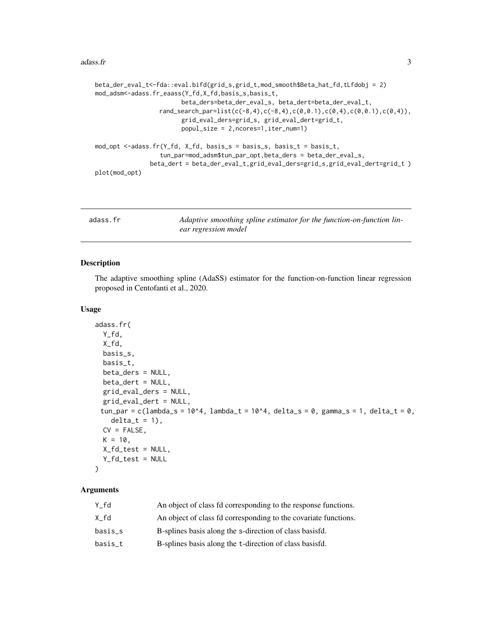#### <span id="page-2-0"></span>adass.fr  $\frac{3}{2}$

```
beta_der_eval_t<-fda::eval.bifd(grid_s,grid_t,mod_smooth$Beta_hat_fd,tLfdobj = 2)
mod_adsm<-adass.fr_eaass(Y_fd,X_fd,basis_s,basis_t,
                        beta_ders=beta_der_eval_s, beta_dert=beta_der_eval_t,
                  rand_search_par=list(c(-8,4),c(-8,4),c(0,0.1),c(0,4),c(0,0.1),c(0,4)),
                        grid_eval_ders=grid_s, grid_eval_dert=grid_t,
                        popul_size = 2,ncores=1,iter_num=1)
mod_opt <-adass.fr(Y_fd, X_fd, basis_s = basis_s, basis_t = basis_t,
                  tun_par=mod_adsm$tun_par_opt,beta_ders = beta_der_eval_s,
               beta_dert = beta_der_eval_t,grid_eval_ders=grid_s,grid_eval_dert=grid_t )
plot(mod_opt)
```
<span id="page-2-1"></span>

| adass.fr | Adaptive smoothing spline estimator for the function-on-function lin- |
|----------|-----------------------------------------------------------------------|
|          | ear regression model                                                  |

#### Description

The adaptive smoothing spline (AdaSS) estimator for the function-on-function linear regression proposed in Centofanti et al., 2020.

#### Usage

```
adass.fr(
  Y_fd,
 X_fd,
 basis_s,
 basis_t,
 beta_ders = NULL,
 beta_dert = NULL,
 grid_eval_ders = NULL,
 grid_eval_dert = NULL,
 tun_par = c(lambda_s = 10^4, lambda_t = 10^4, delta_s = 0, gamma_s = 1, delta_t = 0,
    delta_t = 1,
 CV = FALSE,
 K = 10,
 X_fd_test = NULL,
  Y_fd_test = NULL
\lambda
```
#### Arguments

| Y fd    | An object of class fd corresponding to the response functions.  |
|---------|-----------------------------------------------------------------|
| X fd    | An object of class fd corresponding to the covariate functions. |
| basis s | B-splines basis along the s-direction of class basisfd.         |
| basis t | B-splines basis along the t-direction of class basisfd.         |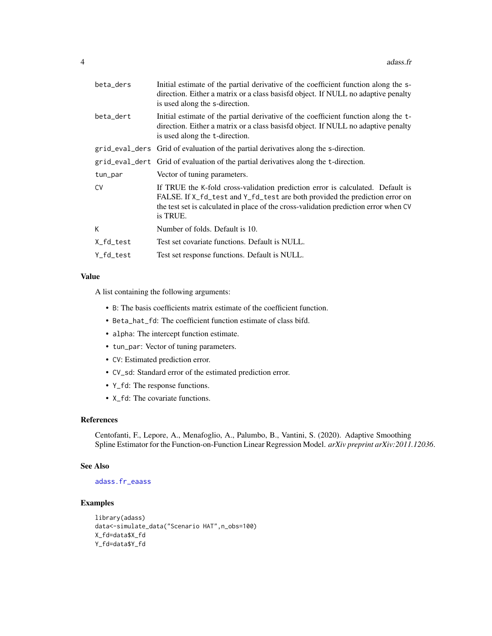<span id="page-3-0"></span>

| beta_ders | Initial estimate of the partial derivative of the coefficient function along the s-<br>direction. Either a matrix or a class basisfd object. If NULL no adaptive penalty<br>is used along the s-direction.                                                        |
|-----------|-------------------------------------------------------------------------------------------------------------------------------------------------------------------------------------------------------------------------------------------------------------------|
| beta_dert | Initial estimate of the partial derivative of the coefficient function along the t-<br>direction. Either a matrix or a class basisfd object. If NULL no adaptive penalty<br>is used along the t-direction.                                                        |
|           | grid_eval_ders Grid of evaluation of the partial derivatives along the s-direction.                                                                                                                                                                               |
|           | grid_eval_dert Grid of evaluation of the partial derivatives along the t-direction.                                                                                                                                                                               |
| tun_par   | Vector of tuning parameters.                                                                                                                                                                                                                                      |
| <b>CV</b> | If TRUE the K-fold cross-validation prediction error is calculated. Default is<br>FALSE. If X_fd_test and Y_fd_test are both provided the prediction error on<br>the test set is calculated in place of the cross-validation prediction error when CV<br>is TRUE. |
| К         | Number of folds. Default is 10.                                                                                                                                                                                                                                   |
| X_fd_test | Test set covariate functions. Default is NULL.                                                                                                                                                                                                                    |
| Y fd test | Test set response functions. Default is NULL.                                                                                                                                                                                                                     |
|           |                                                                                                                                                                                                                                                                   |

#### Value

A list containing the following arguments:

- B: The basis coefficients matrix estimate of the coefficient function.
- Beta\_hat\_fd: The coefficient function estimate of class bifd.
- alpha: The intercept function estimate.
- tun\_par: Vector of tuning parameters.
- CV: Estimated prediction error.
- CV\_sd: Standard error of the estimated prediction error.
- Y\_fd: The response functions.
- X\_fd: The covariate functions.

#### References

Centofanti, F., Lepore, A., Menafoglio, A., Palumbo, B., Vantini, S. (2020). Adaptive Smoothing Spline Estimator for the Function-on-Function Linear Regression Model. *arXiv preprint arXiv:2011.12036*.

#### See Also

#### [adass.fr\\_eaass](#page-4-1)

#### Examples

```
library(adass)
data<-simulate_data("Scenario HAT",n_obs=100)
X_fd=data$X_fd
Y_fd=data$Y_fd
```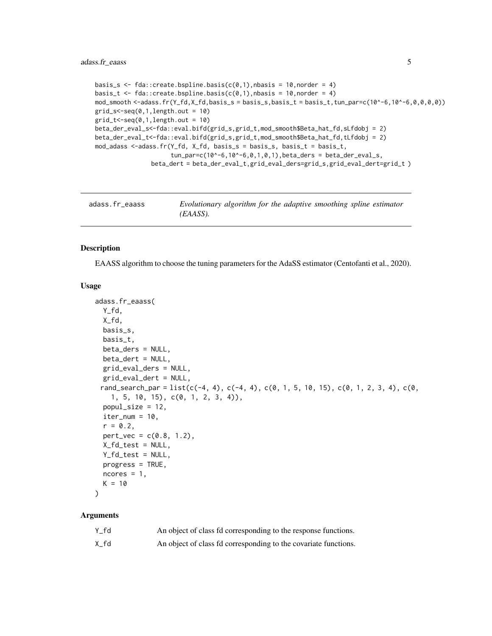```
basis_s <- fda::create.bspline.basis(c(0,1),nbasis = 10,norder = 4)
basis_t <- fda::create.bspline.basis(c(0,1), nbasis = 10, norder = 4)
mod\_smooth \leq -adass.fr(Y_fdd, X_fdd, basis_s = basis_s, basis_t = basis_t, tun\_par=c(10^6-6,10^6-6,0,0,0,0))grid_s < -seq(0, 1, length.out = 10)grid_t < -seq(0, 1, length.out = 10)beta_der_eval_s<-fda::eval.bifd(grid_s,grid_t,mod_smooth$Beta_hat_fd,sLfdobj = 2)
beta_der_eval_t<-fda::eval.bifd(grid_s,grid_t,mod_smooth$Beta_hat_fd,tLfdobj = 2)
mod_adass <-adass.fr(Y_fd, X_fd, basis_s = basis_s, basis_t = basis_t,
                      tun\_par=c(10^{\wedge}-6,10^{\wedge}-6,0,1,0,1), beta_ders = beta_der_eval_s,
                beta_dert = beta_der_eval_t,grid_eval_ders=grid_s,grid_eval_dert=grid_t )
```
<span id="page-4-1"></span>

| adass.fr_eaass | Evolutionary algorithm for the adaptive smoothing spline estimator |
|----------------|--------------------------------------------------------------------|
|                | (EAASS).                                                           |

#### Description

EAASS algorithm to choose the tuning parameters for the AdaSS estimator (Centofanti et al., 2020).

#### Usage

```
adass.fr_eaass(
 Y_fd,
  X_fd,
 basis_s,
 basis_t,
 beta_ders = NULL,
 beta_dert = NULL,
  grid_eval_ders = NULL,
 grid_eval_dert = NULL,
 rand_search_par = list(c(-4, 4), c(-4, 4), c(0, 1, 5, 10, 15), c(0, 1, 2, 3, 4), c(0,
    1, 5, 10, 15), c(0, 1, 2, 3, 4)),
  popul_size = 12,
  iter\_num = 10,r = 0.2,
  pert\_vec = c(0.8, 1.2),X_fd_test = NULL,
 Y_fd_test = NULL,
 progress = TRUE,
 ncores = 1,
 K = 10)
```
#### Arguments

| Y fd | An object of class fd corresponding to the response functions.  |
|------|-----------------------------------------------------------------|
| X fd | An object of class fd corresponding to the covariate functions. |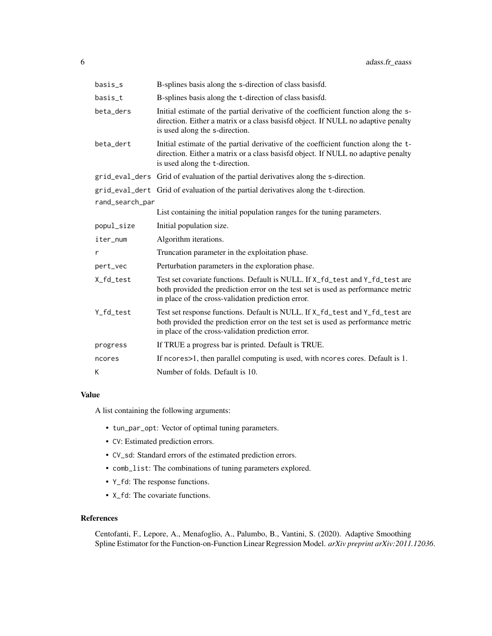| basis_s         | B-splines basis along the s-direction of class basisfd.                                                                                                                                                                 |  |  |  |  |  |
|-----------------|-------------------------------------------------------------------------------------------------------------------------------------------------------------------------------------------------------------------------|--|--|--|--|--|
| basis_t         | B-splines basis along the t-direction of class basisfd.                                                                                                                                                                 |  |  |  |  |  |
| beta_ders       | Initial estimate of the partial derivative of the coefficient function along the s-<br>direction. Either a matrix or a class basisfd object. If NULL no adaptive penalty<br>is used along the s-direction.              |  |  |  |  |  |
| beta_dert       | Initial estimate of the partial derivative of the coefficient function along the t-<br>direction. Either a matrix or a class basisfd object. If NULL no adaptive penalty<br>is used along the t-direction.              |  |  |  |  |  |
|                 | grid_eval_ders Grid of evaluation of the partial derivatives along the s-direction.                                                                                                                                     |  |  |  |  |  |
|                 | grid_eval_dert Grid of evaluation of the partial derivatives along the t-direction.                                                                                                                                     |  |  |  |  |  |
| rand_search_par |                                                                                                                                                                                                                         |  |  |  |  |  |
|                 | List containing the initial population ranges for the tuning parameters.                                                                                                                                                |  |  |  |  |  |
| popul_size      | Initial population size.                                                                                                                                                                                                |  |  |  |  |  |
| iter_num        | Algorithm iterations.                                                                                                                                                                                                   |  |  |  |  |  |
| r               | Truncation parameter in the exploitation phase.                                                                                                                                                                         |  |  |  |  |  |
| pert_vec        | Perturbation parameters in the exploration phase.                                                                                                                                                                       |  |  |  |  |  |
| X_fd_test       | Test set covariate functions. Default is NULL. If X_fd_test and Y_fd_test are<br>both provided the prediction error on the test set is used as performance metric<br>in place of the cross-validation prediction error. |  |  |  |  |  |
| Y_fd_test       | Test set response functions. Default is NULL. If X_fd_test and Y_fd_test are<br>both provided the prediction error on the test set is used as performance metric<br>in place of the cross-validation prediction error.  |  |  |  |  |  |
| progress        | If TRUE a progress bar is printed. Default is TRUE.                                                                                                                                                                     |  |  |  |  |  |
| ncores          | If ncores>1, then parallel computing is used, with ncores cores. Default is 1.                                                                                                                                          |  |  |  |  |  |
| K               | Number of folds. Default is 10.                                                                                                                                                                                         |  |  |  |  |  |

#### Value

A list containing the following arguments:

- tun\_par\_opt: Vector of optimal tuning parameters.
- CV: Estimated prediction errors.
- CV\_sd: Standard errors of the estimated prediction errors.
- comb\_list: The combinations of tuning parameters explored.
- Y\_fd: The response functions.
- X\_fd: The covariate functions.

#### References

Centofanti, F., Lepore, A., Menafoglio, A., Palumbo, B., Vantini, S. (2020). Adaptive Smoothing Spline Estimator for the Function-on-Function Linear Regression Model. *arXiv preprint arXiv:2011.12036*.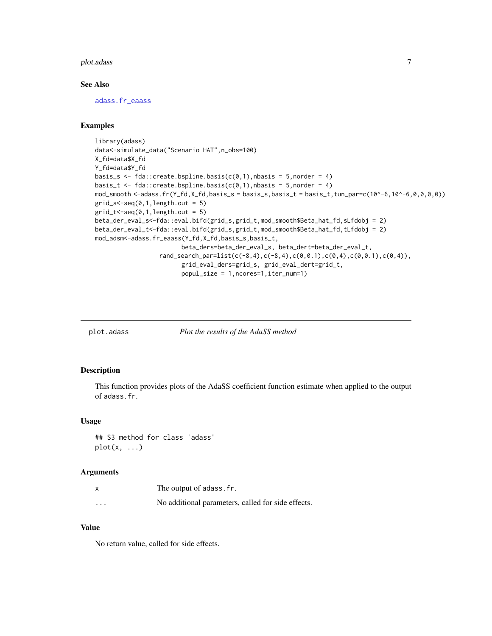#### <span id="page-6-0"></span>plot.adass 7

#### See Also

[adass.fr\\_eaass](#page-4-1)

#### Examples

```
library(adass)
data<-simulate_data("Scenario HAT",n_obs=100)
X_fd=data$X_fd
Y_fd=data$Y_fd
basis_s <- fda::create.bspline.basis(c(0,1), nbasis = 5, norder = 4)
basis_t <- fda::create.bspline.basis(c(0,1), nbasis = 5, norder = 4)
mod\_smooth < -adass.fr(Y_fd, X_fd, basis_s = basis_s, basis_t = basis_t, tun\_par=c(10^6-6,10^6-6,0,0,0,0))grid_s < -seq(0,1, length.out = 5)grid_t < -seq(0, 1, length.out = 5)beta_der_eval_s<-fda::eval.bifd(grid_s,grid_t,mod_smooth$Beta_hat_fd,sLfdobj = 2)
beta_der_eval_t<-fda::eval.bifd(grid_s,grid_t,mod_smooth$Beta_hat_fd,tLfdobj = 2)
mod_adsm<-adass.fr_eaass(Y_fd,X_fd,basis_s,basis_t,
                        beta_ders=beta_der_eval_s, beta_dert=beta_der_eval_t,
                  rand_search_par=list(c(-8,4),c(-8,4),c(0,0.1),c(0,4),c(0,0.1),c(0,4)),
                        grid_eval_ders=grid_s, grid_eval_dert=grid_t,
                        popul_size = 1,ncores=1,iter_num=1)
```
plot.adass *Plot the results of the AdaSS method*

#### Description

This function provides plots of the AdaSS coefficient function estimate when applied to the output of adass.fr.

#### Usage

```
## S3 method for class 'adass'
plot(x, \ldots)
```
#### Arguments

|          | The output of adass. fr.                           |
|----------|----------------------------------------------------|
| $\cdots$ | No additional parameters, called for side effects. |

#### Value

No return value, called for side effects.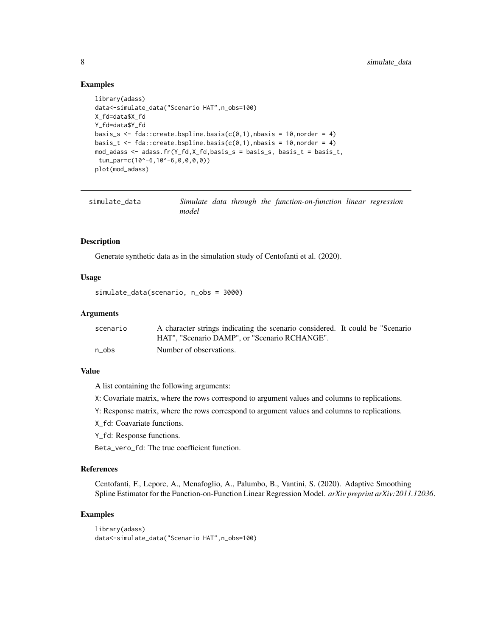#### Examples

```
library(adass)
data<-simulate_data("Scenario HAT",n_obs=100)
X_fd=data$X_fd
Y_fd=data$Y_fd
basis_s <- fda::create.bspline.basis(c(0,1), nbasis = 10, norder = 4)
basis_t <- fda::create.bspline.basis(c(0,1), nbasis = 10, norder = 4)
mod_adass <- adass.fr(Y_fd,X_fd,basis_s = basis_s, basis_t = basis_t,
tun_par=c(10^-6,10^-6,0,0,0,0))
plot(mod_adass)
```

| simulate data |       |  | Simulate data through the function-on-function linear regression |  |
|---------------|-------|--|------------------------------------------------------------------|--|
|               | model |  |                                                                  |  |

#### Description

Generate synthetic data as in the simulation study of Centofanti et al. (2020).

#### Usage

simulate\_data(scenario, n\_obs = 3000)

#### Arguments

| scenario | A character strings indicating the scenario considered. It could be "Scenario |
|----------|-------------------------------------------------------------------------------|
|          | HAT". "Scenario DAMP". or "Scenario RCHANGE".                                 |
| n obs    | Number of observations.                                                       |

#### Value

A list containing the following arguments:

X: Covariate matrix, where the rows correspond to argument values and columns to replications.

Y: Response matrix, where the rows correspond to argument values and columns to replications.

X\_fd: Coavariate functions.

Y\_fd: Response functions.

Beta\_vero\_fd: The true coefficient function.

#### References

Centofanti, F., Lepore, A., Menafoglio, A., Palumbo, B., Vantini, S. (2020). Adaptive Smoothing Spline Estimator for the Function-on-Function Linear Regression Model. *arXiv preprint arXiv:2011.12036*.

#### Examples

```
library(adass)
data<-simulate_data("Scenario HAT",n_obs=100)
```
<span id="page-7-0"></span>